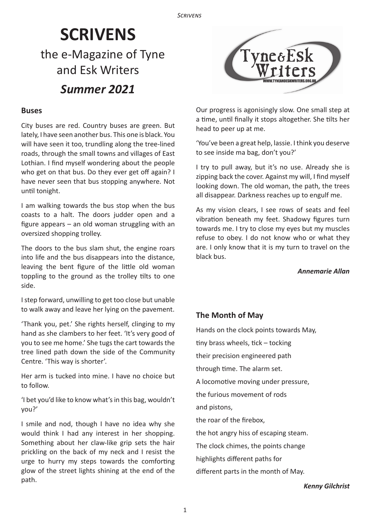# **SCRIVENS** the e-Magazine of Tyne and Esk Writers *Summer 2021*

## **Buses**

City buses are red. Country buses are green. But lately, I have seen another bus. This one is black. You will have seen it too, trundling along the tree-lined roads, through the small towns and villages of East Lothian. I find myself wondering about the people who get on that bus. Do they ever get off again? I have never seen that bus stopping anywhere. Not until tonight.

I am walking towards the bus stop when the bus coasts to a halt. The doors judder open and a figure appears – an old woman struggling with an oversized shopping trolley.

The doors to the bus slam shut, the engine roars into life and the bus disappears into the distance, leaving the bent figure of the little old woman toppling to the ground as the trolley tilts to one side.

I step forward, unwilling to get too close but unable to walk away and leave her lying on the pavement.

'Thank you, pet.' She rights herself, clinging to my hand as she clambers to her feet. 'It's very good of you to see me home.' She tugs the cart towards the tree lined path down the side of the Community Centre. 'This way is shorter'.

Her arm is tucked into mine. I have no choice but to follow.

'I bet you'd like to know what's in this bag, wouldn't you?'

I smile and nod, though I have no idea why she would think I had any interest in her shopping. Something about her claw-like grip sets the hair prickling on the back of my neck and I resist the urge to hurry my steps towards the comforting glow of the street lights shining at the end of the path.



Our progress is agonisingly slow. One small step at a time, until finally it stops altogether. She tilts her head to peer up at me.

'You've been a great help, lassie. I think you deserve to see inside ma bag, don't you?'

I try to pull away, but it's no use. Already she is zipping back the cover. Against my will, I find myself looking down. The old woman, the path, the trees all disappear. Darkness reaches up to engulf me.

As my vision clears, I see rows of seats and feel vibration beneath my feet. Shadowy figures turn towards me. I try to close my eyes but my muscles refuse to obey. I do not know who or what they are. I only know that it is my turn to travel on the black bus.

 *Annemarie Allan*

# **The Month of May**

Hands on the clock points towards May, tiny brass wheels, tick – tocking their precision engineered path through time. The alarm set. A locomotive moving under pressure, the furious movement of rods and pistons, the roar of the firebox, the hot angry hiss of escaping steam. The clock chimes, the points change highlights different paths for

different parts in the month of May.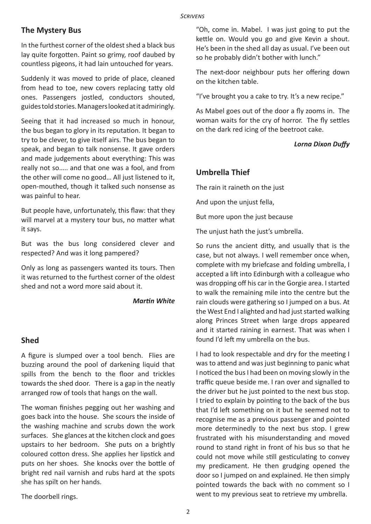# **The Mystery Bus**

In the furthest corner of the oldest shed a black bus lay quite forgotten. Paint so grimy, roof daubed by countless pigeons, it had lain untouched for years.

Suddenly it was moved to pride of place, cleaned from head to toe, new covers replacing tatty old ones. Passengers jostled, conductors shouted, guides told stories. Managers looked at it admiringly.

Seeing that it had increased so much in honour, the bus began to glory in its reputation. It began to try to be clever, to give itself airs. The bus began to speak, and began to talk nonsense. It gave orders and made judgements about everything: This was really not so….. and that one was a fool, and from the other will come no good… All just listened to it, open-mouthed, though it talked such nonsense as was painful to hear.

But people have, unfortunately, this flaw: that they will marvel at a mystery tour bus, no matter what it says.

But was the bus long considered clever and respected? And was it long pampered?

Only as long as passengers wanted its tours. Then it was returned to the furthest corner of the oldest shed and not a word more said about it.

*Martin White*

# **Shed**

A figure is slumped over a tool bench. Flies are buzzing around the pool of darkening liquid that spills from the bench to the floor and trickles towards the shed door. There is a gap in the neatly arranged row of tools that hangs on the wall.

The woman finishes pegging out her washing and goes back into the house. She scours the inside of the washing machine and scrubs down the work surfaces. She glances at the kitchen clock and goes upstairs to her bedroom. She puts on a brightly coloured cotton dress. She applies her lipstick and puts on her shoes. She knocks over the bottle of bright red nail varnish and rubs hard at the spots she has spilt on her hands.

"Oh, come in. Mabel. I was just going to put the kettle on. Would you go and give Kevin a shout. He's been in the shed all day as usual. I've been out so he probably didn't bother with lunch."

The next-door neighbour puts her offering down on the kitchen table.

"I've brought you a cake to try. It's a new recipe."

As Mabel goes out of the door a fly zooms in. The woman waits for the cry of horror. The fly settles on the dark red icing of the beetroot cake.

# *Lorna Dixon Duffy*

# **Umbrella Thief**

The rain it raineth on the just

And upon the unjust fella,

But more upon the just because

The unjust hath the just's umbrella.

So runs the ancient ditty, and usually that is the case, but not always. I well remember once when, complete with my briefcase and folding umbrella, I accepted a lift into Edinburgh with a colleague who was dropping off his car in the Gorgie area. I started to walk the remaining mile into the centre but the rain clouds were gathering so I jumped on a bus. At the West End I alighted and had just started walking along Princes Street when large drops appeared and it started raining in earnest. That was when I found I'd left my umbrella on the bus.

I had to look respectable and dry for the meeting I was to attend and was just beginning to panic what I noticed the bus I had been on moving slowly in the traffic queue beside me. I ran over and signalled to the driver but he just pointed to the next bus stop. I tried to explain by pointing to the back of the bus that I'd left something on it but he seemed not to recognise me as a previous passenger and pointed more determinedly to the next bus stop. I grew frustrated with his misunderstanding and moved round to stand right in front of his bus so that he could not move while still gesticulating to convey my predicament. He then grudging opened the door so I jumped on and explained. He then simply pointed towards the back with no comment so I went to my previous seat to retrieve my umbrella.

The doorbell rings.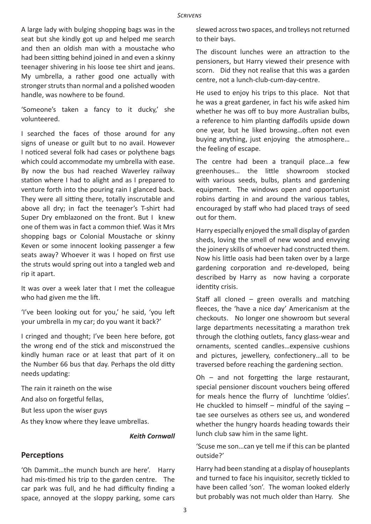#### *Scrivens*

A large lady with bulging shopping bags was in the seat but she kindly got up and helped me search and then an oldish man with a moustache who had been sitting behind joined in and even a skinny teenager shivering in his loose tee shirt and jeans. My umbrella, a rather good one actually with stronger struts than normal and a polished wooden handle, was nowhere to be found.

'Someone's taken a fancy to it ducky,' she volunteered.

I searched the faces of those around for any signs of unease or guilt but to no avail. However I noticed several folk had cases or polythene bags which could accommodate my umbrella with ease. By now the bus had reached Waverley railway station where I had to alight and as I prepared to venture forth into the pouring rain I glanced back. They were all sitting there, totally inscrutable and above all dry; in fact the teenager's T-shirt had Super Dry emblazoned on the front. But I knew one of them was in fact a common thief. Was it Mrs shopping bags or Colonial Moustache or skinny Keven or some innocent looking passenger a few seats away? Whoever it was I hoped on first use the struts would spring out into a tangled web and rip it apart.

It was over a week later that I met the colleague who had given me the lift.

'I've been looking out for you,' he said, 'you left your umbrella in my car; do you want it back?'

I cringed and thought; I've been here before, got the wrong end of the stick and misconstrued the kindly human race or at least that part of it on the Number 66 bus that day. Perhaps the old ditty needs updating:

The rain it raineth on the wise

And also on forgetful fellas,

But less upon the wiser guys

As they know where they leave umbrellas.

## *Keith Cornwall*

## **Perceptions**

'Oh Dammit…the munch bunch are here'. Harry had mis-timed his trip to the garden centre. The car park was full, and he had difficulty finding a space, annoyed at the sloppy parking, some cars

slewed across two spaces, and trolleys not returned to their bays.

The discount lunches were an attraction to the pensioners, but Harry viewed their presence with scorn. Did they not realise that this was a garden centre, not a lunch-club-cum-day-centre.

He used to enjoy his trips to this place. Not that he was a great gardener, in fact his wife asked him whether he was off to buy more Australian bulbs, a reference to him planting daffodils upside down one year, but he liked browsing…often not even buying anything, just enjoying the atmosphere… the feeling of escape.

The centre had been a tranquil place…a few greenhouses… the little showroom stocked with various seeds, bulbs, plants and gardening equipment. The windows open and opportunist robins darting in and around the various tables, encouraged by staff who had placed trays of seed out for them.

Harry especially enjoyed the small display of garden sheds, loving the smell of new wood and envying the joinery skills of whoever had constructed them. Now his little oasis had been taken over by a large gardening corporation and re-developed, being described by Harry as now having a corporate identity crisis.

Staff all cloned – green overalls and matching fleeces, the 'have a nice day' Americanism at the checkouts. No longer one showroom but several large departments necessitating a marathon trek through the clothing outlets, fancy glass-wear and ornaments, scented candles…expensive cushions and pictures, jewellery, confectionery…all to be traversed before reaching the gardening section.

Oh – and not forgetting the large restaurant, special pensioner discount vouchers being offered for meals hence the flurry of lunchtime 'oldies'. He chuckled to himself – mindful of the saving  $$ tae see ourselves as others see us, and wondered whether the hungry hoards heading towards their lunch club saw him in the same light.

'Scuse me son…can ye tell me if this can be planted outside?'

Harry had been standing at a display of houseplants and turned to face his inquisitor, secretly tickled to have been called 'son'. The woman looked elderly but probably was not much older than Harry. She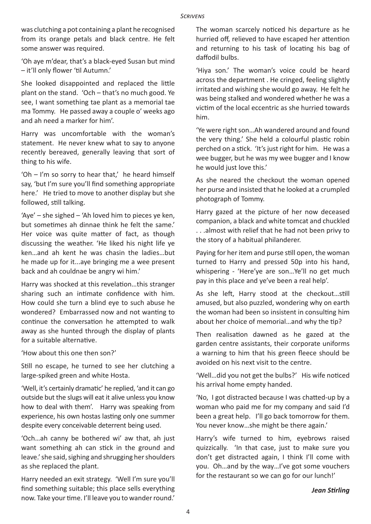was clutching a pot containing a plant he recognised from its orange petals and black centre. He felt some answer was required.

'Oh aye m'dear, that's a black-eyed Susan but mind – it'll only flower 'til Autumn.'

She looked disappointed and replaced the little plant on the stand. 'Och – that's no much good. Ye see, I want something tae plant as a memorial tae ma Tommy. He passed away a couple o' weeks ago and ah need a marker for him'.

Harry was uncomfortable with the woman's statement. He never knew what to say to anyone recently bereaved, generally leaving that sort of thing to his wife.

'Oh – I'm so sorry to hear that,' he heard himself say, 'but I'm sure you'll find something appropriate here.' He tried to move to another display but she followed, still talking.

'Aye' – she sighed – 'Ah loved him to pieces ye ken, but sometimes ah dinnae think he felt the same.' Her voice was quite matter of fact, as though discussing the weather. 'He liked his night life ye ken…and ah kent he was chasin the ladies…but he made up for it...aye bringing me a wee present back and ah couldnae be angry wi him.'

Harry was shocked at this revelation…this stranger sharing such an intimate confidence with him. How could she turn a blind eye to such abuse he wondered? Embarrassed now and not wanting to continue the conversation he attempted to walk away as she hunted through the display of plants for a suitable alternative.

'How about this one then son?'

Still no escape, he turned to see her clutching a large-spiked green and white Hosta.

'Well, it's certainly dramatic' he replied, 'and it can go outside but the slugs will eat it alive unless you know how to deal with them'. Harry was speaking from experience, his own hostas lasting only one summer despite every conceivable deterrent being used.

'Och…ah canny be bothered wi' aw that, ah just want something ah can stick in the ground and leave.' she said, sighing and shrugging her shoulders as she replaced the plant.

Harry needed an exit strategy. 'Well I'm sure you'll find something suitable; this place sells everything now. Take your time. I'll leave you to wander round.'

The woman scarcely noticed his departure as he hurried off, relieved to have escaped her attention and returning to his task of locating his bag of daffodil bulbs.

'Hiya son.' The woman's voice could be heard across the department . He cringed, feeling slightly irritated and wishing she would go away. He felt he was being stalked and wondered whether he was a victim of the local eccentric as she hurried towards him.

'Ye were right son…Ah wandered around and found the very thing.' She held a colourful plastic robin perched on a stick. 'It's just right for him. He was a wee bugger, but he was my wee bugger and I know he would just love this.'

As she neared the checkout the woman opened her purse and insisted that he looked at a crumpled photograph of Tommy.

Harry gazed at the picture of her now deceased companion, a black and white tomcat and chuckled . . .almost with relief that he had not been privy to the story of a habitual philanderer.

Paying for her item and purse still open, the woman turned to Harry and pressed 50p into his hand, whispering - 'Here'ye are son…Ye'll no get much pay in this place and ye've been a real help'.

As she left, Harry stood at the checkout…still amused, but also puzzled, wondering why on earth the woman had been so insistent in consulting him about her choice of memorial…and why the tip?

Then realisation dawned as he gazed at the garden centre assistants, their corporate uniforms a warning to him that his green fleece should be avoided on his next visit to the centre.

'Well…did you not get the bulbs?' His wife noticed his arrival home empty handed.

'No, I got distracted because I was chatted-up by a woman who paid me for my company and said I'd been a great help. I'll go back tomorrow for them. You never know…she might be there again.'

Harry's wife turned to him, eyebrows raised quizzically. 'In that case, just to make sure you don't get distracted again, I think I'll come with you. Oh…and by the way…I've got some vouchers for the restaurant so we can go for our lunch!'